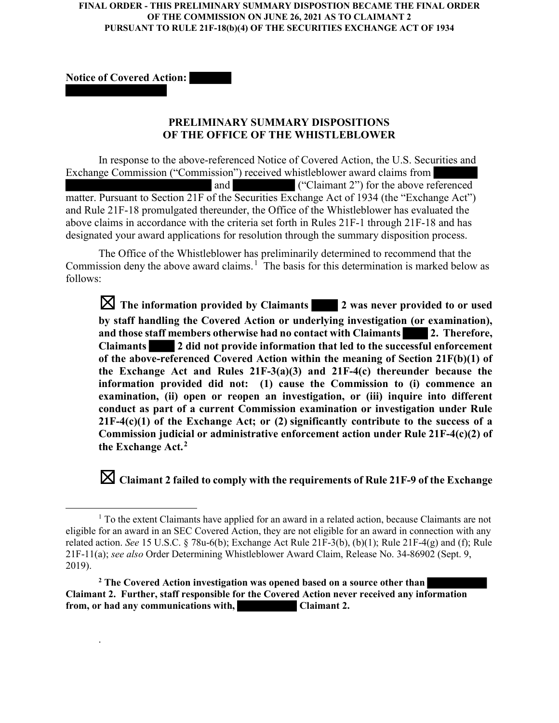## **FINAL ORDER - THIS PRELIMINARY SUMMARY DISPOSTION BECAME THE FINAL ORDER OF THE COMMISSION ON JUNE 26, 2021 AS TO CLAIMANT 2 PURSUANT TO RULE 21F-18(b)(4) OF THE SECURITIES EXCHANGE ACT OF 1934**

Notice of Covered Action:

.

## PRELIMINARY SUMMARY DISPOSITIONS OF THE OFFICE OF THE WHISTLEBLOWER

In response to the above-referenced Notice of Covered Action, the U.S. Securities and Exchange Commission ("Commission") received whistleblower award claims from and ("Claimant 2") for the above referenced matter. Pursuant to Section 21F of the Securities Exchange Act of 1934 (the "Exchange Act") and Rule 21F-18 promulgated thereunder, the Office of the Whistleblower has evaluated the above claims in accordance with the criteria set forth in Rules 21F-1 through 21F-18 and has designated your award applications for resolution through the summary disposition process.

The Office of the Whistleblower has preliminarily determined to recommend that the Commission deny the above award claims.<sup>1</sup> The basis for this determination is marked below as follows:

 $\boxtimes$  The information provided by Claimants  $\blacksquare$  2 was never provided to or used by staff handling the Covered Action or underlying investigation (or examination), and those staff members otherwise had no contact with Claimants 2. Therefore, Claimants 2 did not provide information that led to the successful enforcement of the above-referenced Covered Action within the meaning of Section 21F(b)(1) of the Exchange Act and Rules 21F-3(a)(3) and 21F-4(c) thereunder because the information provided did not: (1) cause the Commission to (i) commence an examination, (ii) open or reopen an investigation, or (iii) inquire into different conduct as part of a current Commission examination or investigation under Rule  $21F-4(c)(1)$  of the Exchange Act; or (2) significantly contribute to the success of a Commission judicial or administrative enforcement action under Rule 21F-4(c)(2) of the Exchange Act.<sup>2</sup>

 $\boxtimes$  Claimant 2 failed to comply with the requirements of Rule 21F-9 of the Exchange

 $<sup>1</sup>$  To the extent Claimants have applied for an award in a related action, because Claimants are not</sup> eligible for an award in an SEC Covered Action, they are not eligible for an award in connection with any related action. See 15 U.S.C. § 78u-6(b); Exchange Act Rule 21F-3(b), (b)(1); Rule 21F-4(g) and (f); Rule 21F-11(a); see also Order Determining Whistleblower Award Claim, Release No. 34-86902 (Sept. 9, 2019).

<sup>&</sup>lt;sup>2</sup> The Covered Action investigation was opened based on a source other than Claimant 2. Further, staff responsible for the Covered Action never received any information from, or had any communications with, Claimant 2.